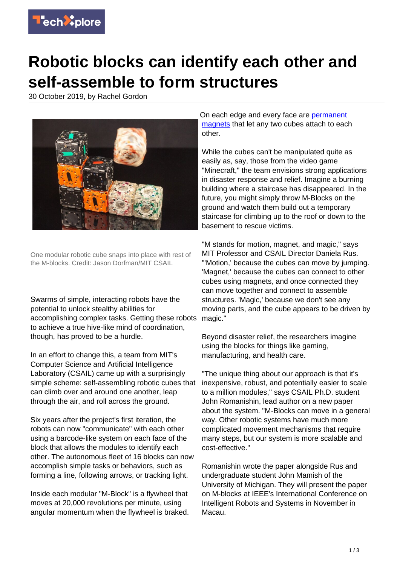

## **Robotic blocks can identify each other and self-assemble to form structures**

30 October 2019, by Rachel Gordon



One modular robotic cube snaps into place with rest of the M-blocks. Credit: Jason Dorfman/MIT CSAIL

Swarms of simple, interacting robots have the potential to unlock stealthy abilities for accomplishing complex tasks. Getting these robots to achieve a true hive-like mind of coordination, though, has proved to be a hurdle.

In an effort to change this, a team from MIT's Computer Science and Artificial Intelligence Laboratory (CSAIL) came up with a surprisingly simple scheme: self-assembling robotic cubes that can climb over and around one another, leap through the air, and roll across the ground.

Six years after the project's first iteration, the robots can now "communicate" with each other using a barcode-like system on each face of the block that allows the modules to identify each other. The autonomous fleet of 16 blocks can now accomplish simple tasks or behaviors, such as forming a line, following arrows, or tracking light.

Inside each modular "M-Block" is a flywheel that moves at 20,000 revolutions per minute, using angular momentum when the flywheel is braked. On each edge and every face are [permanent](https://techxplore.com/tags/permanent+magnets/) [magnets](https://techxplore.com/tags/permanent+magnets/) that let any two cubes attach to each other.

While the cubes can't be manipulated quite as easily as, say, those from the video game "Minecraft," the team envisions strong applications in disaster response and relief. Imagine a burning building where a staircase has disappeared. In the future, you might simply throw M-Blocks on the ground and watch them build out a temporary staircase for climbing up to the roof or down to the basement to rescue victims.

"M stands for motion, magnet, and magic," says MIT Professor and CSAIL Director Daniela Rus. "'Motion,' because the cubes can move by jumping. 'Magnet,' because the cubes can connect to other cubes using magnets, and once connected they can move together and connect to assemble structures. 'Magic,' because we don't see any moving parts, and the cube appears to be driven by magic."

Beyond disaster relief, the researchers imagine using the blocks for things like gaming, manufacturing, and health care.

"The unique thing about our approach is that it's inexpensive, robust, and potentially easier to scale to a million modules,'' says CSAIL Ph.D. student John Romanishin, lead author on a new paper about the system. "M-Blocks can move in a general way. Other robotic systems have much more complicated movement mechanisms that require many steps, but our system is more scalable and cost-effective."

Romanishin wrote the paper alongside Rus and undergraduate student John Mamish of the University of Michigan. They will present the paper on M-blocks at IEEE's International Conference on Intelligent Robots and Systems in November in Macau.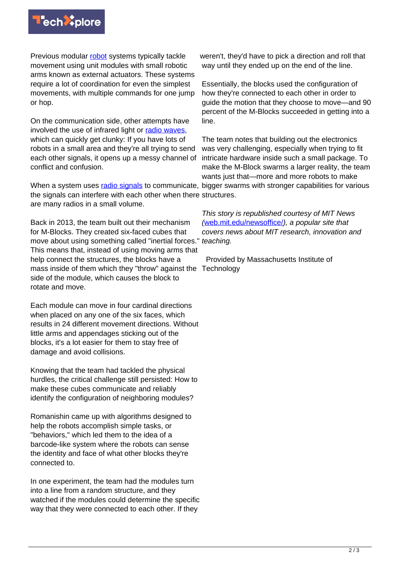

Previous modular [robot](https://techxplore.com/tags/robot/) systems typically tackle movement using unit modules with small robotic arms known as external actuators. These systems require a lot of coordination for even the simplest movements, with multiple commands for one jump or hop.

On the communication side, other attempts have involved the use of infrared light or [radio waves](https://techxplore.com/tags/radio+waves/), which can quickly get clunky: If you have lots of robots in a small area and they're all trying to send each other signals, it opens up a messy channel of conflict and confusion.

When a system uses *[radio signals](https://techxplore.com/tags/radio+signals/)* to communicate, bigger swarms with stronger capabilities for various the signals can interfere with each other when there structures. are many radios in a small volume.

Back in 2013, the team built out their mechanism for M-Blocks. They created six-faced cubes that move about using something called "inertial forces." This means that, instead of using moving arms that help connect the structures, the blocks have a mass inside of them which they "throw" against the Technology side of the module, which causes the block to rotate and move.

Each module can move in four cardinal directions when placed on any one of the six faces, which results in 24 different movement directions. Without little arms and appendages sticking out of the blocks, it's a lot easier for them to stay free of damage and avoid collisions.

Knowing that the team had tackled the physical hurdles, the critical challenge still persisted: How to make these cubes communicate and reliably identify the configuration of neighboring modules?

Romanishin came up with algorithms designed to help the robots accomplish simple tasks, or "behaviors," which led them to the idea of a barcode-like system where the robots can sense the identity and face of what other blocks they're connected to.

In one experiment, the team had the modules turn into a line from a random structure, and they watched if the modules could determine the specific way that they were connected to each other. If they

weren't, they'd have to pick a direction and roll that way until they ended up on the end of the line.

Essentially, the blocks used the configuration of how they're connected to each other in order to guide the motion that they choose to move—and 90 percent of the M-Blocks succeeded in getting into a line.

The team notes that building out the electronics was very challenging, especially when trying to fit intricate hardware inside such a small package. To make the M-Block swarms a larger reality, the team wants just that—more and more robots to make

This story is republished courtesy of MIT News ([web.mit.edu/newsoffice/](http://web.mit.edu/newsoffice/)), a popular site that covers news about MIT research, innovation and teaching.

Provided by Massachusetts Institute of